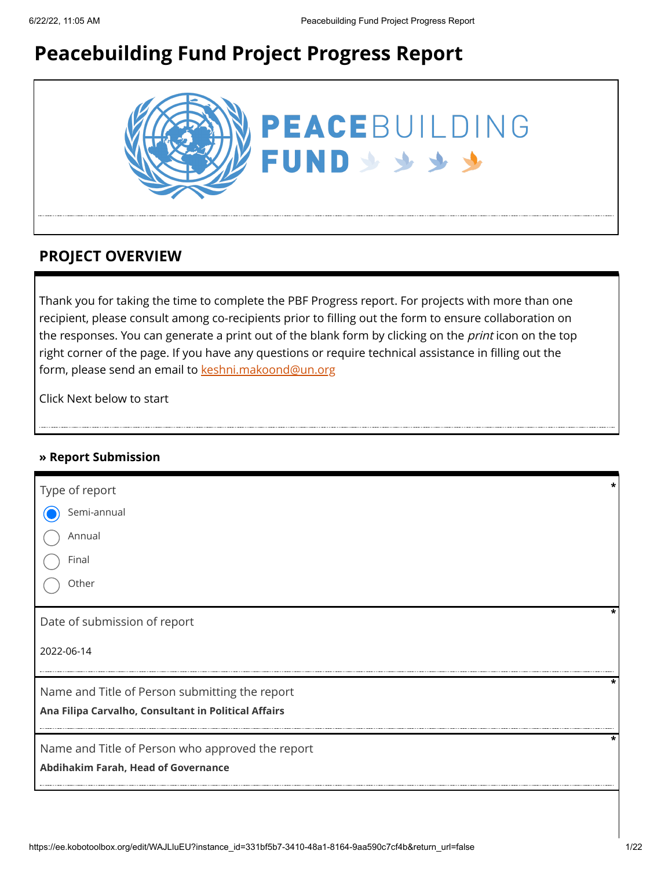# **Peacebuilding Fund Project Progress Report**



### **PROJECT OVERVIEW**

Thank you for taking the time to complete the PBF Progress report. For projects with more than one recipient, please consult among co-recipients prior to filling out the form to ensure collaboration on the responses. You can generate a print out of the blank form by clicking on the *print* icon on the top right corner of the page. If you have any questions or require technical assistance in filling out the form, please send an email to [keshni.makoond@un.org](https://ee.kobotoolbox.org/edit/keshni.makoond@un.org)

Click Next below to start

#### **» Report Submission**

| Type of report                                       |   |
|------------------------------------------------------|---|
| Semi-annual                                          |   |
| Annual                                               |   |
| Final                                                |   |
| Other                                                |   |
| Date of submission of report                         |   |
| 2022-06-14                                           |   |
| Name and Title of Person submitting the report       | * |
| Ana Filipa Carvalho, Consultant in Political Affairs |   |
| Name and Title of Person who approved the report     |   |
| Abdihakim Farah, Head of Governance                  |   |
|                                                      |   |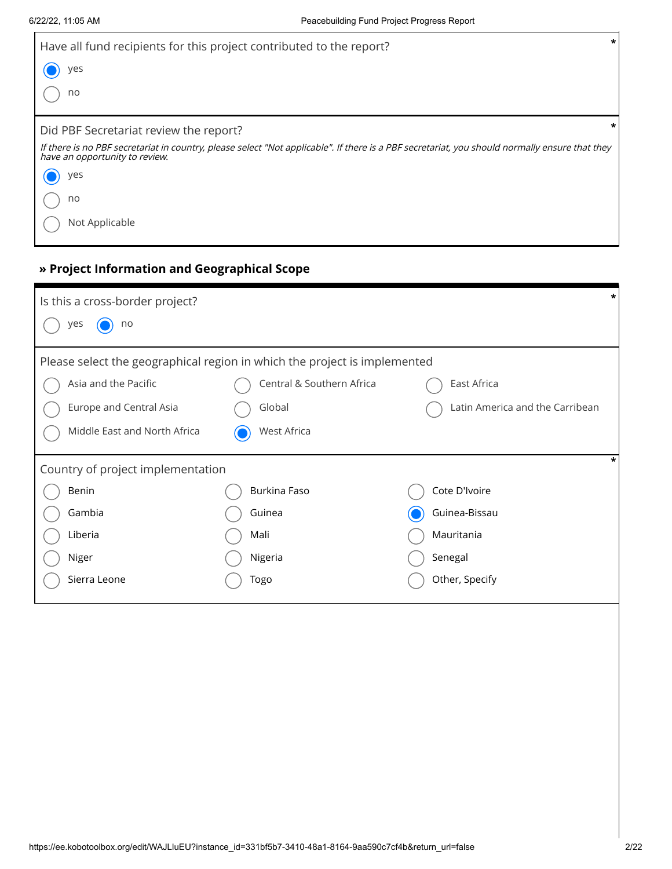| Have all fund recipients for this project contributed to the report?                                                                                                             | $\star$ |
|----------------------------------------------------------------------------------------------------------------------------------------------------------------------------------|---------|
| yes                                                                                                                                                                              |         |
| no                                                                                                                                                                               |         |
| Did PBF Secretariat review the report?                                                                                                                                           | *       |
| If there is no PBF secretariat in country, please select "Not applicable". If there is a PBF secretariat, you should normally ensure that they<br>have an opportunity to review. |         |
| yes                                                                                                                                                                              |         |
| no                                                                                                                                                                               |         |
| Not Applicable                                                                                                                                                                   |         |

### **» Project Information and Geographical Scope**

| Is this a cross-border project?   |                                                                           |                                 |
|-----------------------------------|---------------------------------------------------------------------------|---------------------------------|
| no<br>yes                         |                                                                           |                                 |
|                                   | Please select the geographical region in which the project is implemented |                                 |
| Asia and the Pacific              | Central & Southern Africa                                                 | East Africa                     |
| Europe and Central Asia           | Global                                                                    | Latin America and the Carribean |
| Middle East and North Africa      | West Africa                                                               |                                 |
| Country of project implementation |                                                                           |                                 |
| Benin                             | Burkina Faso                                                              | Cote D'Ivoire                   |
| Gambia                            | Guinea                                                                    | Guinea-Bissau                   |
| Liberia                           | Mali                                                                      | Mauritania                      |
| Niger                             | Nigeria                                                                   | Senegal                         |
| Sierra Leone                      | Togo                                                                      | Other, Specify                  |
|                                   |                                                                           |                                 |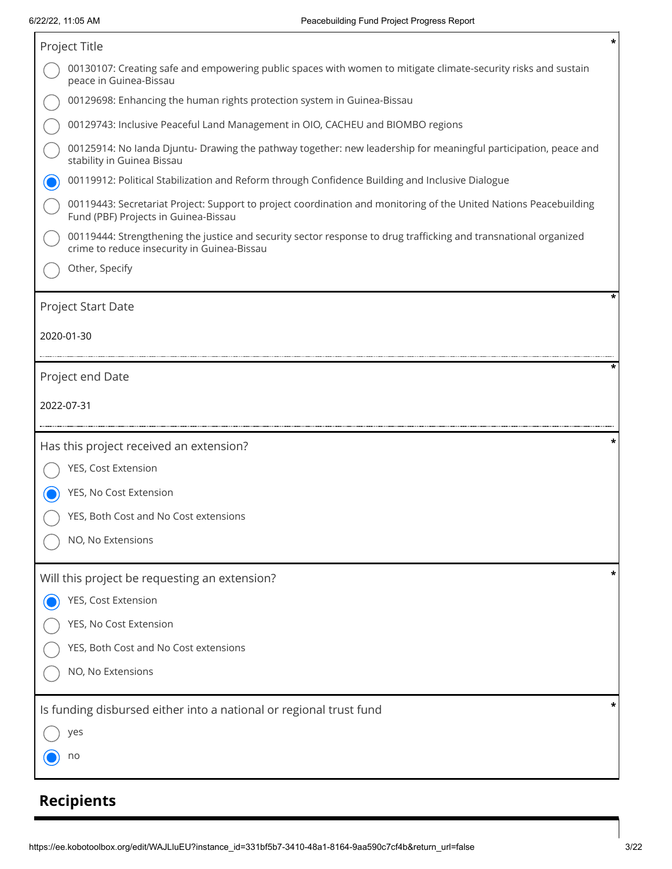| *<br>Project Title                                                                                                                                              |
|-----------------------------------------------------------------------------------------------------------------------------------------------------------------|
| 00130107: Creating safe and empowering public spaces with women to mitigate climate-security risks and sustain<br>peace in Guinea-Bissau                        |
| 00129698: Enhancing the human rights protection system in Guinea-Bissau                                                                                         |
| 00129743: Inclusive Peaceful Land Management in OIO, CACHEU and BIOMBO regions                                                                                  |
| 00125914: No landa Djuntu- Drawing the pathway together: new leadership for meaningful participation, peace and<br>stability in Guinea Bissau                   |
| 00119912: Political Stabilization and Reform through Confidence Building and Inclusive Dialogue                                                                 |
| 00119443: Secretariat Project: Support to project coordination and monitoring of the United Nations Peacebuilding<br>Fund (PBF) Projects in Guinea-Bissau       |
| 00119444: Strengthening the justice and security sector response to drug trafficking and transnational organized<br>crime to reduce insecurity in Guinea-Bissau |
| Other, Specify                                                                                                                                                  |
| *<br><b>Project Start Date</b>                                                                                                                                  |
| 2020-01-30                                                                                                                                                      |
|                                                                                                                                                                 |
| Project end Date                                                                                                                                                |
| 2022-07-31                                                                                                                                                      |
|                                                                                                                                                                 |
| Has this project received an extension?                                                                                                                         |
| YES, Cost Extension                                                                                                                                             |
| YES, No Cost Extension                                                                                                                                          |
| YES, Both Cost and No Cost extensions                                                                                                                           |
| NO, No Extensions                                                                                                                                               |
| *<br>Will this project be requesting an extension?                                                                                                              |
| YES, Cost Extension                                                                                                                                             |
| YES, No Cost Extension                                                                                                                                          |
| YES, Both Cost and No Cost extensions                                                                                                                           |
| NO, No Extensions                                                                                                                                               |
| *<br>Is funding disbursed either into a national or regional trust fund                                                                                         |
| yes                                                                                                                                                             |
| no                                                                                                                                                              |

# **Recipients**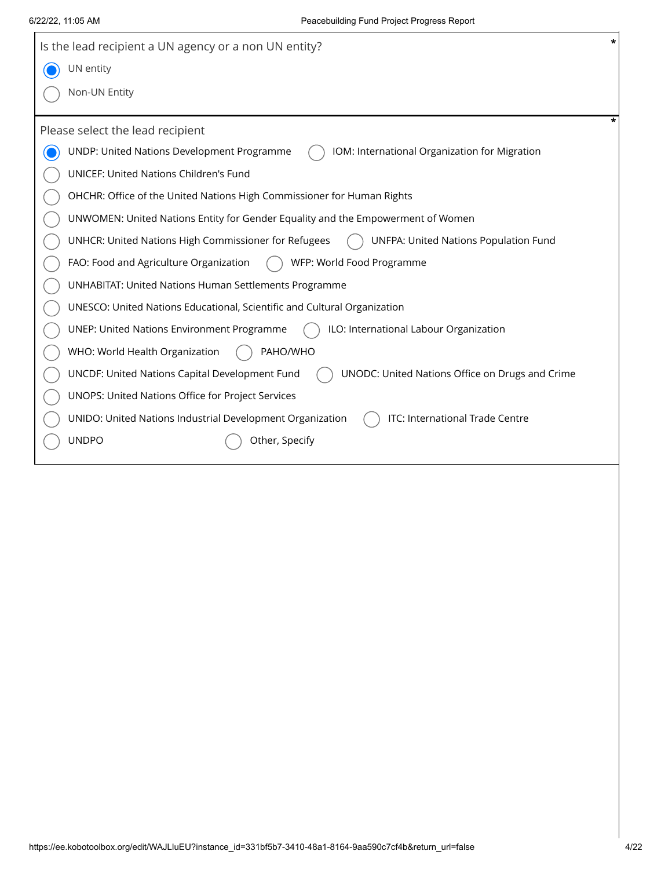$\overline{\phantom{a}}$ 

| *<br>Is the lead recipient a UN agency or a non UN entity?                                           |
|------------------------------------------------------------------------------------------------------|
| UN entity                                                                                            |
| Non-UN Entity                                                                                        |
| Please select the lead recipient                                                                     |
| UNDP: United Nations Development Programme<br>IOM: International Organization for Migration          |
| <b>UNICEF: United Nations Children's Fund</b>                                                        |
| OHCHR: Office of the United Nations High Commissioner for Human Rights                               |
| UNWOMEN: United Nations Entity for Gender Equality and the Empowerment of Women                      |
| <b>UNFPA: United Nations Population Fund</b><br>UNHCR: United Nations High Commissioner for Refugees |
| WFP: World Food Programme<br>FAO: Food and Agriculture Organization                                  |
| <b>UNHABITAT: United Nations Human Settlements Programme</b>                                         |
| UNESCO: United Nations Educational, Scientific and Cultural Organization                             |
| ILO: International Labour Organization<br><b>UNEP: United Nations Environment Programme</b>          |
| PAHO/WHO<br>WHO: World Health Organization                                                           |
| UNCDF: United Nations Capital Development Fund<br>UNODC: United Nations Office on Drugs and Crime    |
| UNOPS: United Nations Office for Project Services                                                    |
| ITC: International Trade Centre<br>UNIDO: United Nations Industrial Development Organization         |
| <b>UNDPO</b><br>Other, Specify                                                                       |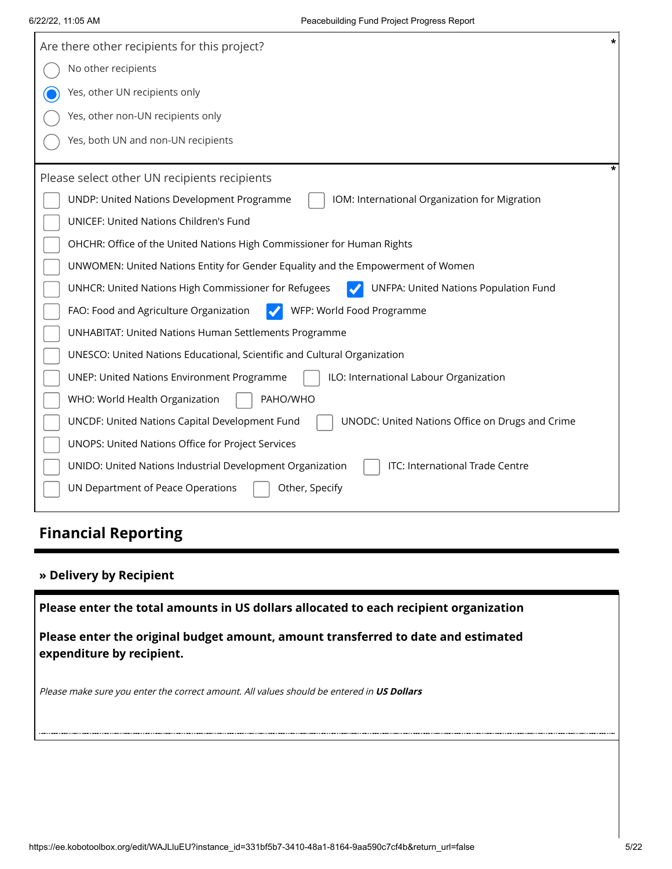| $\star$<br>Are there other recipients for this project?                                              |
|------------------------------------------------------------------------------------------------------|
| No other recipients                                                                                  |
| Yes, other UN recipients only                                                                        |
| Yes, other non-UN recipients only                                                                    |
| Yes, both UN and non-UN recipients                                                                   |
| Please select other UN recipients recipients                                                         |
| UNDP: United Nations Development Programme<br>IOM: International Organization for Migration          |
| <b>UNICEF: United Nations Children's Fund</b>                                                        |
| OHCHR: Office of the United Nations High Commissioner for Human Rights                               |
| UNWOMEN: United Nations Entity for Gender Equality and the Empowerment of Women                      |
| <b>UNFPA: United Nations Population Fund</b><br>UNHCR: United Nations High Commissioner for Refugees |
| WFP: World Food Programme<br>FAO: Food and Agriculture Organization                                  |
| <b>UNHABITAT: United Nations Human Settlements Programme</b>                                         |
| UNESCO: United Nations Educational, Scientific and Cultural Organization                             |
| ILO: International Labour Organization<br><b>UNEP: United Nations Environment Programme</b>          |
| PAHO/WHO<br>WHO: World Health Organization                                                           |
| UNCDF: United Nations Capital Development Fund<br>UNODC: United Nations Office on Drugs and Crime    |
| UNOPS: United Nations Office for Project Services                                                    |
| ITC: International Trade Centre<br>UNIDO: United Nations Industrial Development Organization         |
| UN Department of Peace Operations<br>Other, Specify                                                  |

## **Financial Reporting**

### **» Delivery by Recipient**

**Please enter the total amounts in US dollars allocated to each recipient organization**

**Please enter the original budget amount, amount transferred to date and estimated expenditure by recipient.**

Please make sure you enter the correct amount. All values should be entered in **US Dollars**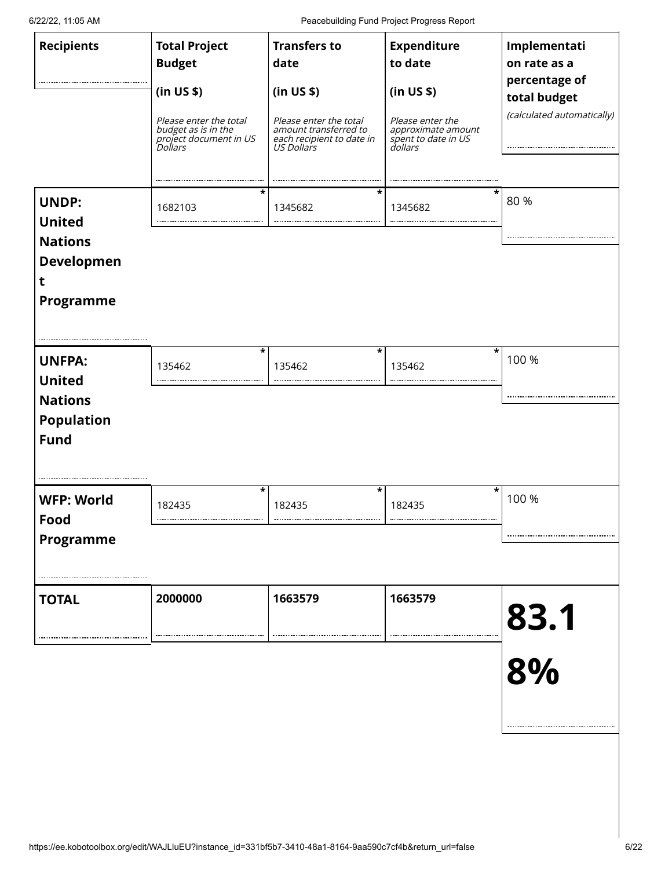6/22/22, 11:05 AM Peacebuilding Fund Project Progress Report

| <b>Recipients</b>                                                                      | <b>Total Project</b><br><b>Budget</b><br>(in US \$)<br>Please enter the total<br>budget as is in the<br>project document in US<br>Dollars | <b>Transfers to</b><br>date<br>(in US \$)<br>Please enter the total<br>amount transferred to<br>each recipient to date in<br>US Dollars | <b>Expenditure</b><br>to date<br>(in US \$)<br>Please enter the<br><i>approximate amount<br/>spent to date in US<br/>dollars</i> | Implementati<br>on rate as a<br>percentage of<br>total budget<br>(calculated automatically) |
|----------------------------------------------------------------------------------------|-------------------------------------------------------------------------------------------------------------------------------------------|-----------------------------------------------------------------------------------------------------------------------------------------|----------------------------------------------------------------------------------------------------------------------------------|---------------------------------------------------------------------------------------------|
| <b>UNDP:</b><br><b>United</b><br><b>Nations</b><br><b>Developmen</b><br>t<br>Programme | *<br>1682103                                                                                                                              | *<br>1345682                                                                                                                            | 1345682                                                                                                                          | 80 %                                                                                        |
| <b>UNFPA:</b><br><b>United</b><br><b>Nations</b><br><b>Population</b><br><b>Fund</b>   | *<br>135462                                                                                                                               | $\star$<br>135462                                                                                                                       | *<br>135462                                                                                                                      | 100 %                                                                                       |
| <b>WFP: World</b><br>Food<br><b>Programme</b>                                          | *<br>182435                                                                                                                               | $\star$<br>182435                                                                                                                       | *<br>182435                                                                                                                      | 100 %                                                                                       |
| <b>TOTAL</b>                                                                           | 2000000                                                                                                                                   | 1663579                                                                                                                                 | 1663579                                                                                                                          | 83.1<br>8%                                                                                  |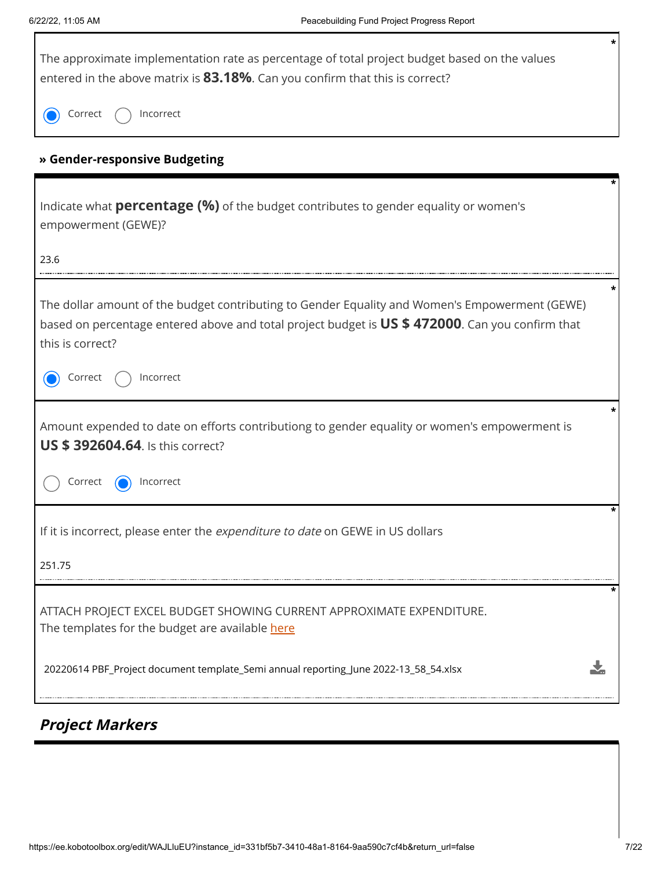Г

| The approximate implementation rate as percentage of total project budget based on the values<br>entered in the above matrix is 83.18%. Can you confirm that this is correct?                                          |
|------------------------------------------------------------------------------------------------------------------------------------------------------------------------------------------------------------------------|
| Incorrect<br>Correct                                                                                                                                                                                                   |
| » Gender-responsive Budgeting                                                                                                                                                                                          |
| Indicate what <b>percentage (%)</b> of the budget contributes to gender equality or women's<br>empowerment (GEWE)?                                                                                                     |
| 23.6                                                                                                                                                                                                                   |
| The dollar amount of the budget contributing to Gender Equality and Women's Empowerment (GEWE)<br>based on percentage entered above and total project budget is US \$ 472000. Can you confirm that<br>this is correct? |
| Incorrect<br>Correct                                                                                                                                                                                                   |
| Amount expended to date on efforts contributiong to gender equality or women's empowerment is<br><b>US \$392604.64.</b> Is this correct?                                                                               |
| Correct<br>Incorrect                                                                                                                                                                                                   |
| If it is incorrect, please enter the expenditure to date on GEWE in US dollars                                                                                                                                         |
| 251.75                                                                                                                                                                                                                 |
| ATTACH PROJECT EXCEL BUDGET SHOWING CURRENT APPROXIMATE EXPENDITURE.<br>The templates for the budget are available here                                                                                                |
| 20220614 PBF_Project document template_Semi annual reporting_June 2022-13_58_54.xlsx                                                                                                                                   |

# **Project Markers**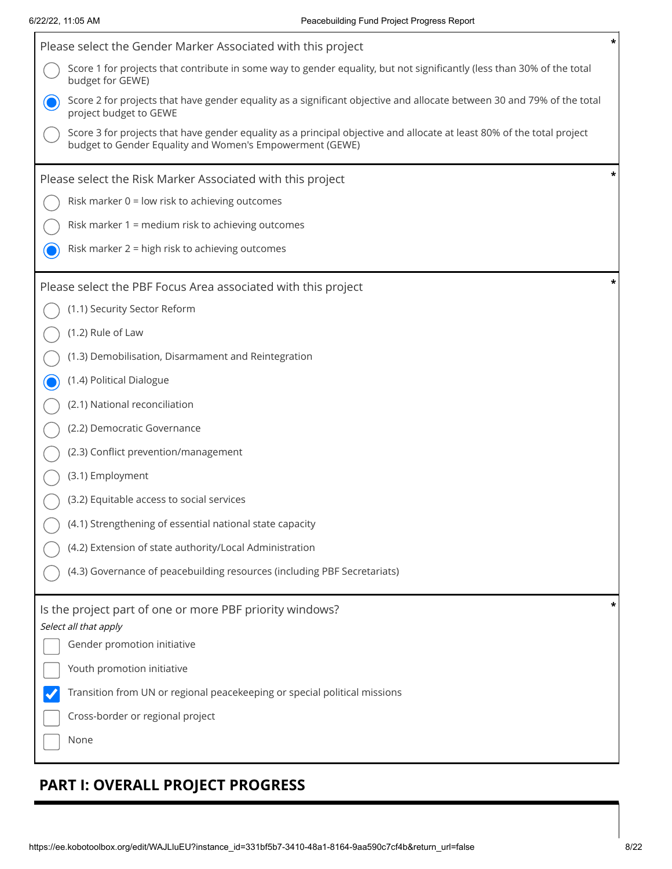Г

| Please select the Gender Marker Associated with this project                                                                                                                       |   |
|------------------------------------------------------------------------------------------------------------------------------------------------------------------------------------|---|
| Score 1 for projects that contribute in some way to gender equality, but not significantly (less than 30% of the total<br>budget for GEWE)                                         |   |
| Score 2 for projects that have gender equality as a significant objective and allocate between 30 and 79% of the total<br>project budget to GEWE                                   |   |
| Score 3 for projects that have gender equality as a principal objective and allocate at least 80% of the total project<br>budget to Gender Equality and Women's Empowerment (GEWE) |   |
| Please select the Risk Marker Associated with this project                                                                                                                         |   |
| Risk marker 0 = low risk to achieving outcomes                                                                                                                                     |   |
| Risk marker 1 = medium risk to achieving outcomes                                                                                                                                  |   |
| Risk marker 2 = high risk to achieving outcomes                                                                                                                                    |   |
| Please select the PBF Focus Area associated with this project                                                                                                                      | * |
| (1.1) Security Sector Reform                                                                                                                                                       |   |
| (1.2) Rule of Law                                                                                                                                                                  |   |
| (1.3) Demobilisation, Disarmament and Reintegration                                                                                                                                |   |
| (1.4) Political Dialogue                                                                                                                                                           |   |
| (2.1) National reconciliation                                                                                                                                                      |   |
| (2.2) Democratic Governance                                                                                                                                                        |   |
| (2.3) Conflict prevention/management                                                                                                                                               |   |
| (3.1) Employment                                                                                                                                                                   |   |
| (3.2) Equitable access to social services                                                                                                                                          |   |
| (4.1) Strengthening of essential national state capacity                                                                                                                           |   |
| (4.2) Extension of state authority/Local Administration                                                                                                                            |   |
| (4.3) Governance of peacebuilding resources (including PBF Secretariats)                                                                                                           |   |
| Is the project part of one or more PBF priority windows?                                                                                                                           |   |
| Select all that apply<br>Gender promotion initiative                                                                                                                               |   |
| Youth promotion initiative                                                                                                                                                         |   |
| Transition from UN or regional peacekeeping or special political missions                                                                                                          |   |
| Cross-border or regional project                                                                                                                                                   |   |
| None                                                                                                                                                                               |   |
|                                                                                                                                                                                    |   |

## **PART I: OVERALL PROJECT PROGRESS**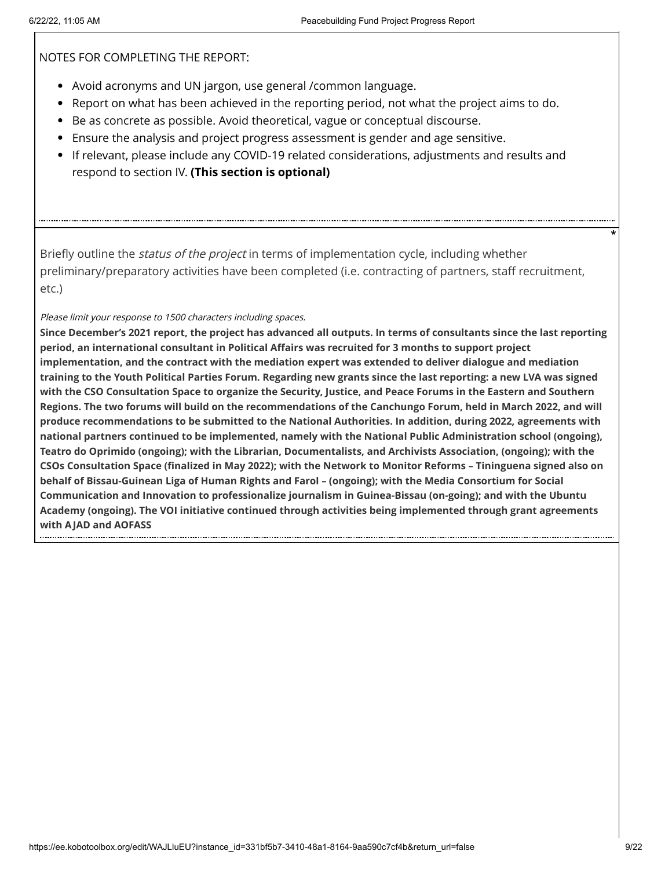NOTES FOR COMPLETING THE REPORT:

- Avoid acronyms and UN jargon, use general /common language.
- Report on what has been achieved in the reporting period, not what the project aims to do.
- Be as concrete as possible. Avoid theoretical, vague or conceptual discourse.
- Ensure the analysis and project progress assessment is gender and age sensitive.
- If relevant, please include any COVID-19 related considerations, adjustments and results and respond to section IV. **(This section is optional)**

Briefly outline the *status of the project* in terms of implementation cycle, including whether preliminary/preparatory activities have been completed (i.e. contracting of partners, staff recruitment, etc.)

#### Please limit your response to 1500 characters including spaces.

**Since December's 2021 report, the project has advanced all outputs. In terms of consultants since the last reporting period, an international consultant in Political Affairs was recruited for 3 months to support project implementation, and the contract with the mediation expert was extended to deliver dialogue and mediation training to the Youth Political Parties Forum. Regarding new grants since the last reporting: a new LVA was signed with the CSO Consultation Space to organize the Security, Justice, and Peace Forums in the Eastern and Southern Regions. The two forums will build on the recommendations of the Canchungo Forum, held in March 2022, and will produce recommendations to be submitted to the National Authorities. In addition, during 2022, agreements with national partners continued to be implemented, namely with the National Public Administration school (ongoing), Teatro do Oprimido (ongoing); with the Librarian, Documentalists, and Archivists Association, (ongoing); with the CSOs Consultation Space (finalized in May 2022); with the Network to Monitor Reforms – Tininguena signed also on behalf of Bissau-Guinean Liga of Human Rights and Farol – (ongoing); with the Media Consortium for Social Communication and Innovation to professionalize journalism in Guinea-Bissau (on-going); and with the Ubuntu Academy (ongoing). The VOI initiative continued through activities being implemented through grant agreements with AJAD and AOFASS**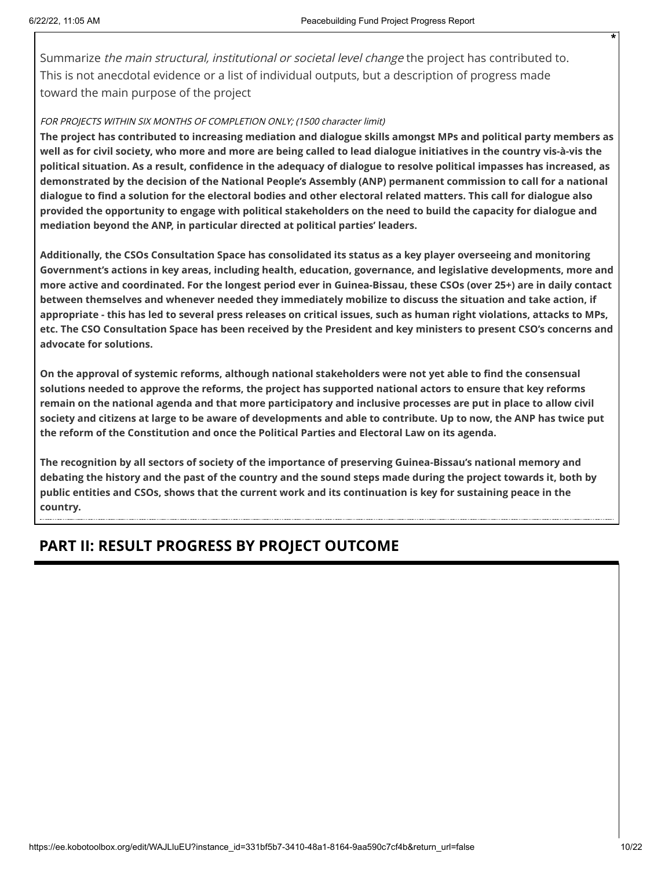Summarize the main structural, institutional or societal level change the project has contributed to. This is not anecdotal evidence or a list of individual outputs, but a description of progress made toward the main purpose of the project

#### FOR PROJECTS WITHIN SIX MONTHS OF COMPLETION ONLY; (1500 character limit)

**The project has contributed to increasing mediation and dialogue skills amongst MPs and political party members as well as for civil society, who more and more are being called to lead dialogue initiatives in the country vis-à-vis the political situation. As a result, confidence in the adequacy of dialogue to resolve political impasses has increased, as demonstrated by the decision of the National People's Assembly (ANP) permanent commission to call for a national dialogue to find a solution for the electoral bodies and other electoral related matters. This call for dialogue also provided the opportunity to engage with political stakeholders on the need to build the capacity for dialogue and mediation beyond the ANP, in particular directed at political parties' leaders.**

**Additionally, the CSOs Consultation Space has consolidated its status as a key player overseeing and monitoring Government's actions in key areas, including health, education, governance, and legislative developments, more and more active and coordinated. For the longest period ever in Guinea-Bissau, these CSOs (over 25+) are in daily contact between themselves and whenever needed they immediately mobilize to discuss the situation and take action, if appropriate - this has led to several press releases on critical issues, such as human right violations, attacks to MPs, etc. The CSO Consultation Space has been received by the President and key ministers to present CSO's concerns and advocate for solutions.**

**On the approval of systemic reforms, although national stakeholders were not yet able to find the consensual solutions needed to approve the reforms, the project has supported national actors to ensure that key reforms remain on the national agenda and that more participatory and inclusive processes are put in place to allow civil society and citizens at large to be aware of developments and able to contribute. Up to now, the ANP has twice put the reform of the Constitution and once the Political Parties and Electoral Law on its agenda.** 

**The recognition by all sectors of society of the importance of preserving Guinea-Bissau's national memory and debating the history and the past of the country and the sound steps made during the project towards it, both by public entities and CSOs, shows that the current work and its continuation is key for sustaining peace in the country.**

### **PART II: RESULT PROGRESS BY PROJECT OUTCOME**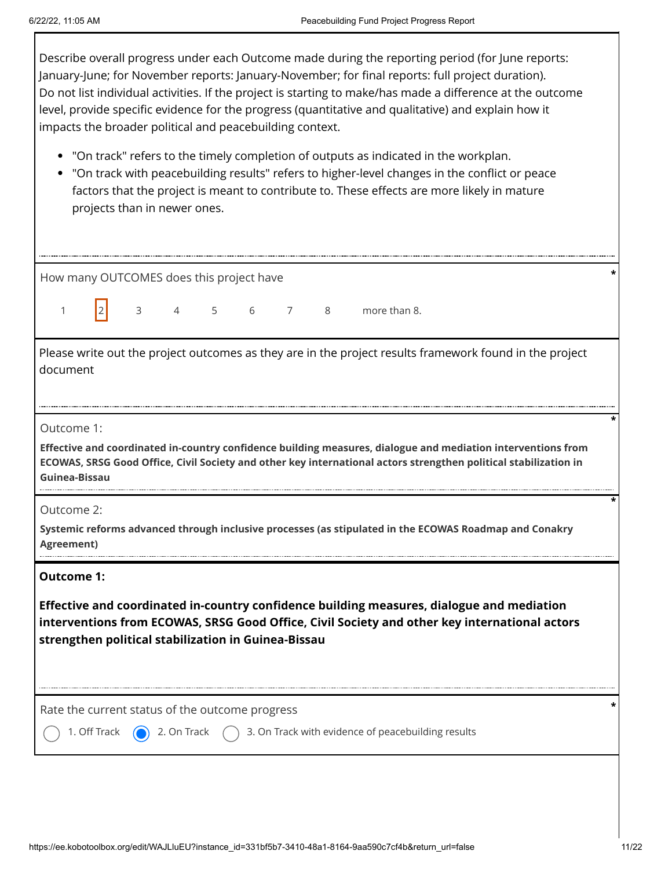Describe overall progress under each Outcome made during the reporting period (for June reports: January-June; for November reports: January-November; for final reports: full project duration). Do not list individual activities. If the project is starting to make/has made a difference at the outcome level, provide specific evidence for the progress (quantitative and qualitative) and explain how it impacts the broader political and peacebuilding context.

- "On track" refers to the timely completion of outputs as indicated in the workplan.
- "On track with peacebuilding results" refers to higher-level changes in the conflict or peace factors that the project is meant to contribute to. These effects are more likely in mature projects than in newer ones.

| How many OUTCOMES does this project have                                                                                                                                                                                                                               |  |  |  |  |  |
|------------------------------------------------------------------------------------------------------------------------------------------------------------------------------------------------------------------------------------------------------------------------|--|--|--|--|--|
| more than 8.<br>3<br>5<br>6<br>$\overline{7}$<br>8<br>$\mathbf{1}$<br>$\overline{4}$                                                                                                                                                                                   |  |  |  |  |  |
| Please write out the project outcomes as they are in the project results framework found in the project<br>document                                                                                                                                                    |  |  |  |  |  |
| Outcome 1:<br>Effective and coordinated in-country confidence building measures, dialogue and mediation interventions from<br>ECOWAS, SRSG Good Office, Civil Society and other key international actors strengthen political stabilization in<br>Guinea-Bissau        |  |  |  |  |  |
| Outcome 2:<br>Systemic reforms advanced through inclusive processes (as stipulated in the ECOWAS Roadmap and Conakry<br>Agreement)                                                                                                                                     |  |  |  |  |  |
| <b>Outcome 1:</b><br>Effective and coordinated in-country confidence building measures, dialogue and mediation<br>interventions from ECOWAS, SRSG Good Office, Civil Society and other key international actors<br>strengthen political stabilization in Guinea-Bissau |  |  |  |  |  |
| Rate the current status of the outcome progress                                                                                                                                                                                                                        |  |  |  |  |  |
| 3. On Track with evidence of peacebuilding results<br>2. On Track<br>1. Off Track                                                                                                                                                                                      |  |  |  |  |  |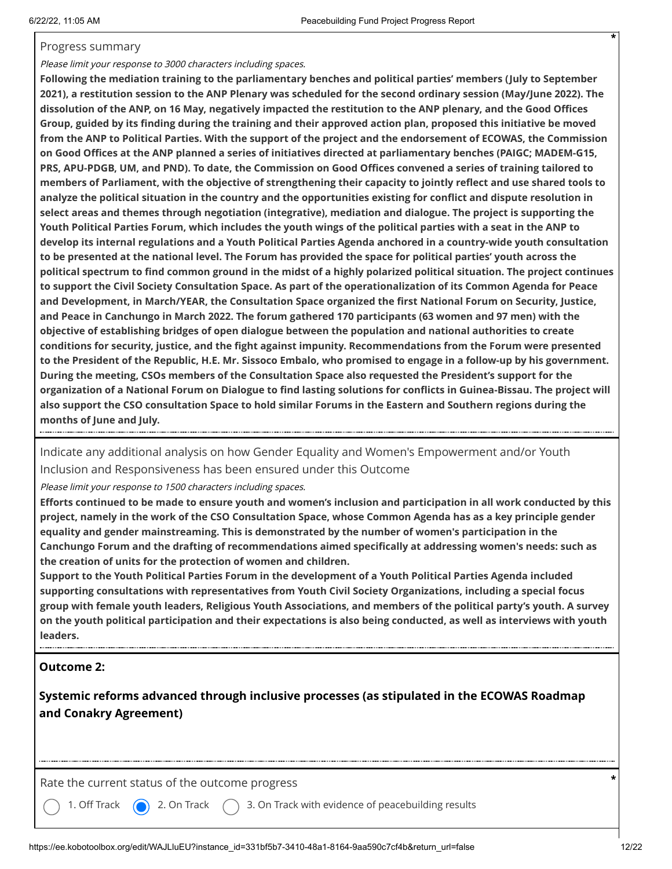#### Progress summary

#### Please limit your response to 3000 characters including spaces.

**Following the mediation training to the parliamentary benches and political parties' members (July to September 2021), a restitution session to the ANP Plenary was scheduled for the second ordinary session (May/June 2022). The dissolution of the ANP, on 16 May, negatively impacted the restitution to the ANP plenary, and the Good Offices Group, guided by its finding during the training and their approved action plan, proposed this initiative be moved from the ANP to Political Parties. With the support of the project and the endorsement of ECOWAS, the Commission on Good Offices at the ANP planned a series of initiatives directed at parliamentary benches (PAIGC; MADEM-G15, PRS, APU-PDGB, UM, and PND). To date, the Commission on Good Offices convened a series of training tailored to members of Parliament, with the objective of strengthening their capacity to jointly reflect and use shared tools to analyze the political situation in the country and the opportunities existing for conflict and dispute resolution in select areas and themes through negotiation (integrative), mediation and dialogue. The project is supporting the Youth Political Parties Forum, which includes the youth wings of the political parties with a seat in the ANP to develop its internal regulations and a Youth Political Parties Agenda anchored in a country-wide youth consultation to be presented at the national level. The Forum has provided the space for political parties' youth across the political spectrum to find common ground in the midst of a highly polarized political situation. The project continues to support the Civil Society Consultation Space. As part of the operationalization of its Common Agenda for Peace and Development, in March/YEAR, the Consultation Space organized the first National Forum on Security, Justice, and Peace in Canchungo in March 2022. The forum gathered 170 participants (63 women and 97 men) with the objective of establishing bridges of open dialogue between the population and national authorities to create conditions for security, justice, and the fight against impunity. Recommendations from the Forum were presented to the President of the Republic, H.E. Mr. Sissoco Embalo, who promised to engage in a follow-up by his government. During the meeting, CSOs members of the Consultation Space also requested the President's support for the organization of a National Forum on Dialogue to find lasting solutions for conflicts in Guinea-Bissau. The project will also support the CSO consultation Space to hold similar Forums in the Eastern and Southern regions during the months of June and July.**

Indicate any additional analysis on how Gender Equality and Women's Empowerment and/or Youth Inclusion and Responsiveness has been ensured under this Outcome

Please limit your response to 1500 characters including spaces.

**Efforts continued to be made to ensure youth and women's inclusion and participation in all work conducted by this project, namely in the work of the CSO Consultation Space, whose Common Agenda has as a key principle gender equality and gender mainstreaming. This is demonstrated by the number of women's participation in the Canchungo Forum and the drafting of recommendations aimed specifically at addressing women's needs: such as the creation of units for the protection of women and children.** 

**Support to the Youth Political Parties Forum in the development of a Youth Political Parties Agenda included supporting consultations with representatives from Youth Civil Society Organizations, including a special focus group with female youth leaders, Religious Youth Associations, and members of the political party's youth. A survey on the youth political participation and their expectations is also being conducted, as well as interviews with youth leaders.**

#### **Outcome 2:**

**Systemic reforms advanced through inclusive processes (as stipulated in the ECOWAS Roadmap and Conakry Agreement)**

Rate the current status of the outcome progress **\***

1. Off Track  $\left(\bigcap_{i=1}^{\infty} 2.0$  On Track  $\left(\bigcap_{i=1}^{\infty} 3.0$  Track with evidence of peacebuilding results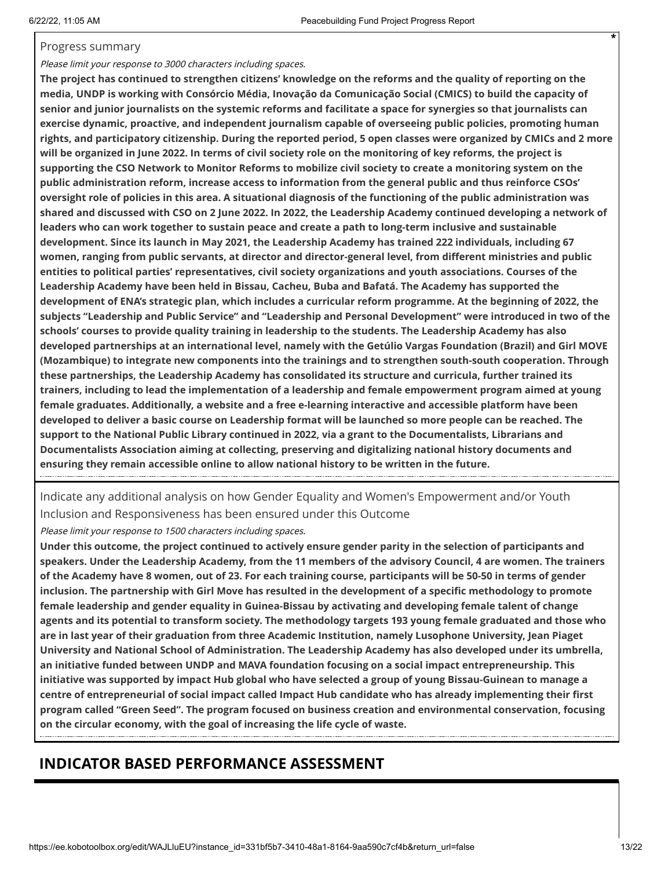#### Progress summary

#### Please limit your response to 3000 characters including spaces.

**The project has continued to strengthen citizens' knowledge on the reforms and the quality of reporting on the media, UNDP is working with Consórcio Média, Inovação da Comunicação Social (CMICS) to build the capacity of senior and junior journalists on the systemic reforms and facilitate a space for synergies so that journalists can exercise dynamic, proactive, and independent journalism capable of overseeing public policies, promoting human rights, and participatory citizenship. During the reported period, 5 open classes were organized by CMICs and 2 more will be organized in June 2022. In terms of civil society role on the monitoring of key reforms, the project is supporting the CSO Network to Monitor Reforms to mobilize civil society to create a monitoring system on the public administration reform, increase access to information from the general public and thus reinforce CSOs' oversight role of policies in this area. A situational diagnosis of the functioning of the public administration was shared and discussed with CSO on 2 June 2022. In 2022, the Leadership Academy continued developing a network of leaders who can work together to sustain peace and create a path to long-term inclusive and sustainable development. Since its launch in May 2021, the Leadership Academy has trained 222 individuals, including 67 women, ranging from public servants, at director and director-general level, from different ministries and public entities to political parties' representatives, civil society organizations and youth associations. Courses of the Leadership Academy have been held in Bissau, Cacheu, Buba and Bafatá. The Academy has supported the development of ENA's strategic plan, which includes a curricular reform programme. At the beginning of 2022, the subjects "Leadership and Public Service" and "Leadership and Personal Development" were introduced in two of the schools' courses to provide quality training in leadership to the students. The Leadership Academy has also developed partnerships at an international level, namely with the Getúlio Vargas Foundation (Brazil) and Girl MOVE (Mozambique) to integrate new components into the trainings and to strengthen south-south cooperation. Through these partnerships, the Leadership Academy has consolidated its structure and curricula, further trained its trainers, including to lead the implementation of a leadership and female empowerment program aimed at young female graduates. Additionally, a website and a free e-learning interactive and accessible platform have been developed to deliver a basic course on Leadership format will be launched so more people can be reached. The support to the National Public Library continued in 2022, via a grant to the Documentalists, Librarians and Documentalists Association aiming at collecting, preserving and digitalizing national history documents and ensuring they remain accessible online to allow national history to be written in the future.**

Indicate any additional analysis on how Gender Equality and Women's Empowerment and/or Youth Inclusion and Responsiveness has been ensured under this Outcome

Please limit your response to 1500 characters including spaces.

**Under this outcome, the project continued to actively ensure gender parity in the selection of participants and speakers. Under the Leadership Academy, from the 11 members of the advisory Council, 4 are women. The trainers of the Academy have 8 women, out of 23. For each training course, participants will be 50-50 in terms of gender inclusion. The partnership with Girl Move has resulted in the development of a specific methodology to promote female leadership and gender equality in Guinea-Bissau by activating and developing female talent of change agents and its potential to transform society. The methodology targets 193 young female graduated and those who are in last year of their graduation from three Academic Institution, namely Lusophone University, Jean Piaget University and National School of Administration. The Leadership Academy has also developed under its umbrella, an initiative funded between UNDP and MAVA foundation focusing on a social impact entrepreneurship. This initiative was supported by impact Hub global who have selected a group of young Bissau-Guinean to manage a centre of entrepreneurial of social impact called Impact Hub candidate who has already implementing their first program called "Green Seed". The program focused on business creation and environmental conservation, focusing on the circular economy, with the goal of increasing the life cycle of waste.**

### **INDICATOR BASED PERFORMANCE ASSESSMENT**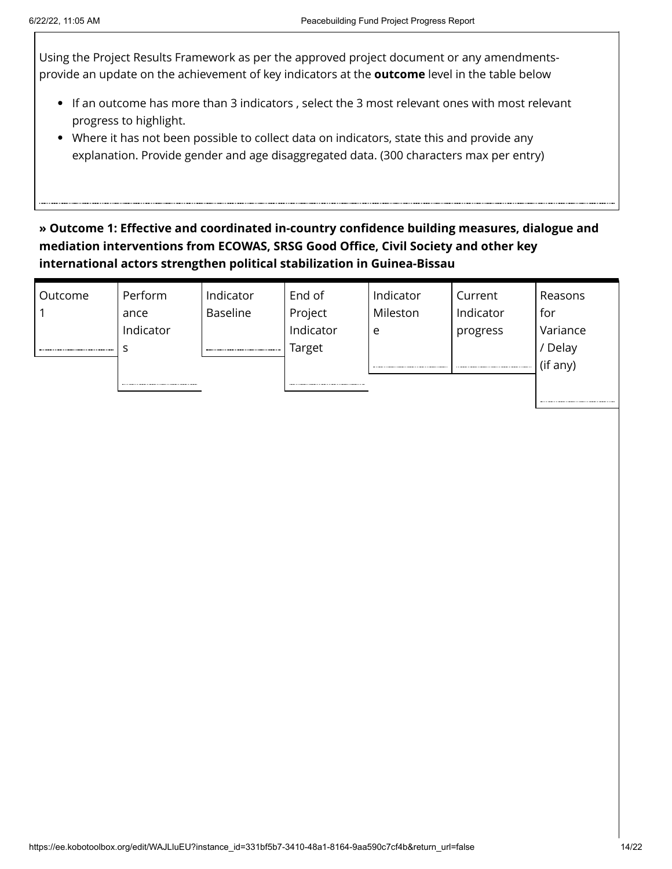Using the Project Results Framework as per the approved project document or any amendmentsprovide an update on the achievement of key indicators at the **outcome** level in the table below

- If an outcome has more than 3 indicators , select the 3 most relevant ones with most relevant progress to highlight.
- Where it has not been possible to collect data on indicators, state this and provide any explanation. Provide gender and age disaggregated data. (300 characters max per entry)

### **» Outcome 1: Effective and coordinated in-country confidence building measures, dialogue and mediation interventions from ECOWAS, SRSG Good Office, Civil Society and other key international actors strengthen political stabilization in Guinea-Bissau**

| Outcome | Perform   | Indicator       | End of    | Indicator | Current   | Reasons  |
|---------|-----------|-----------------|-----------|-----------|-----------|----------|
|         | ance      | <b>Baseline</b> | Project   | Mileston  | Indicator | for      |
|         | Indicator |                 | Indicator | e         | progress  | Variance |
|         |           |                 | Target    |           |           | / Delay  |
|         |           |                 |           |           |           | (if any) |
|         |           |                 |           |           |           |          |
|         |           |                 |           |           |           |          |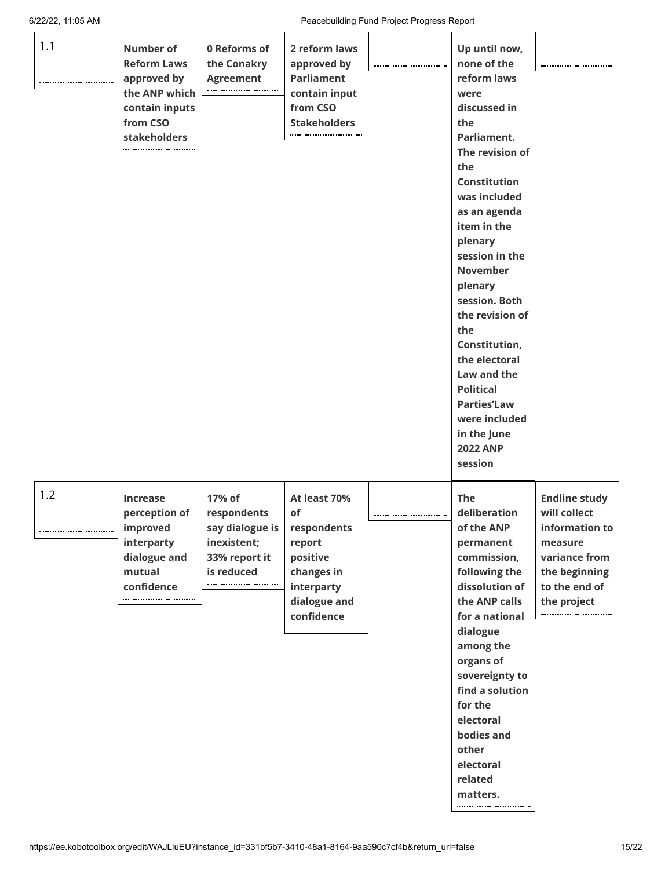| 1.1 | Number of<br><b>Reform Laws</b><br>approved by<br>the ANP which<br>contain inputs<br>from CSO<br>stakeholders | 0 Reforms of<br>the Conakry<br><b>Agreement</b>                                        | 2 reform laws<br>approved by<br><b>Parliament</b><br>contain input<br>from CSO<br><b>Stakeholders</b>             | Up until now,<br>none of the<br>reform laws<br>were<br>discussed in<br>the<br>Parliament.<br>The revision of<br>the<br><b>Constitution</b><br>was included<br>as an agenda<br>item in the<br>plenary<br>session in the<br><b>November</b><br>plenary<br>session. Both<br>the revision of<br>the<br>Constitution,<br>the electoral<br>Law and the<br><b>Political</b><br><b>Parties'Law</b><br>were included<br>in the June<br><b>2022 ANP</b><br>session |                                                                                                                                     |
|-----|---------------------------------------------------------------------------------------------------------------|----------------------------------------------------------------------------------------|-------------------------------------------------------------------------------------------------------------------|----------------------------------------------------------------------------------------------------------------------------------------------------------------------------------------------------------------------------------------------------------------------------------------------------------------------------------------------------------------------------------------------------------------------------------------------------------|-------------------------------------------------------------------------------------------------------------------------------------|
| 1.2 | <b>Increase</b><br>perception of<br>improved<br>interparty<br>dialogue and<br>mutual<br>confidence            | 17% of<br>respondents<br>say dialogue is<br>inexistent;<br>33% report it<br>is reduced | At least 70%<br>of<br>respondents<br>report<br>positive<br>changes in<br>interparty<br>dialogue and<br>confidence | <b>The</b><br>deliberation<br>of the ANP<br>permanent<br>commission,<br>following the<br>dissolution of<br>the ANP calls<br>for a national<br>dialogue<br>among the<br>organs of<br>sovereignty to<br>find a solution<br>for the<br>electoral<br>bodies and<br>other<br>electoral<br>related<br>matters.                                                                                                                                                 | <b>Endline study</b><br>will collect<br>information to<br>measure<br>variance from<br>the beginning<br>to the end of<br>the project |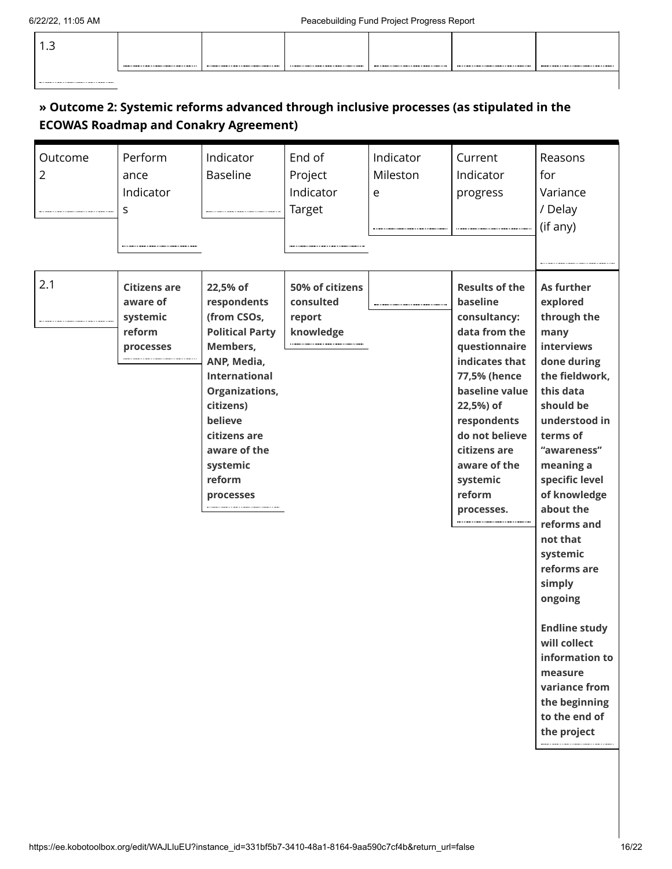| . |  |  |  |
|---|--|--|--|
|   |  |  |  |

### **» Outcome 2: Systemic reforms advanced through inclusive processes (as stipulated in the ECOWAS Roadmap and Conakry Agreement)**

| Outcome<br>$\overline{2}$<br> | Perform<br>ance<br>Indicator<br>S                                  | Indicator<br><b>Baseline</b>                                                                                                                                                                                                            | End of<br>Project<br>Indicator<br>Target                | Indicator<br>Mileston<br>e | Current<br>Indicator<br>progress                                                                                                                                                                                                                          | Reasons<br>for<br>Variance<br>/ Delay<br>(if any)                                                                                                                                                                                                                                                                                                                                                                                                |
|-------------------------------|--------------------------------------------------------------------|-----------------------------------------------------------------------------------------------------------------------------------------------------------------------------------------------------------------------------------------|---------------------------------------------------------|----------------------------|-----------------------------------------------------------------------------------------------------------------------------------------------------------------------------------------------------------------------------------------------------------|--------------------------------------------------------------------------------------------------------------------------------------------------------------------------------------------------------------------------------------------------------------------------------------------------------------------------------------------------------------------------------------------------------------------------------------------------|
| 2.1                           | <b>Citizens are</b><br>aware of<br>systemic<br>reform<br>processes | 22,5% of<br>respondents<br>(from CSOs,<br><b>Political Party</b><br>Members,<br>ANP, Media,<br><b>International</b><br><b>Organizations,</b><br>citizens)<br>believe<br>citizens are<br>aware of the<br>systemic<br>reform<br>processes | 50% of citizens<br>consulted<br>report<br>knowledge<br> |                            | <b>Results of the</b><br>baseline<br>consultancy:<br>data from the<br>questionnaire<br>indicates that<br>77,5% (hence<br>baseline value<br>22,5%) of<br>respondents<br>do not believe<br>citizens are<br>aware of the<br>systemic<br>reform<br>processes. | As further<br>explored<br>through the<br>many<br>interviews<br>done during<br>the fieldwork,<br>this data<br>should be<br>understood in<br>terms of<br>"awareness"<br>meaning a<br>specific level<br>of knowledge<br>about the<br>reforms and<br>not that<br>systemic<br>reforms are<br>simply<br>ongoing<br><b>Endline study</b><br>will collect<br>information to<br>measure<br>variance from<br>the beginning<br>to the end of<br>the project |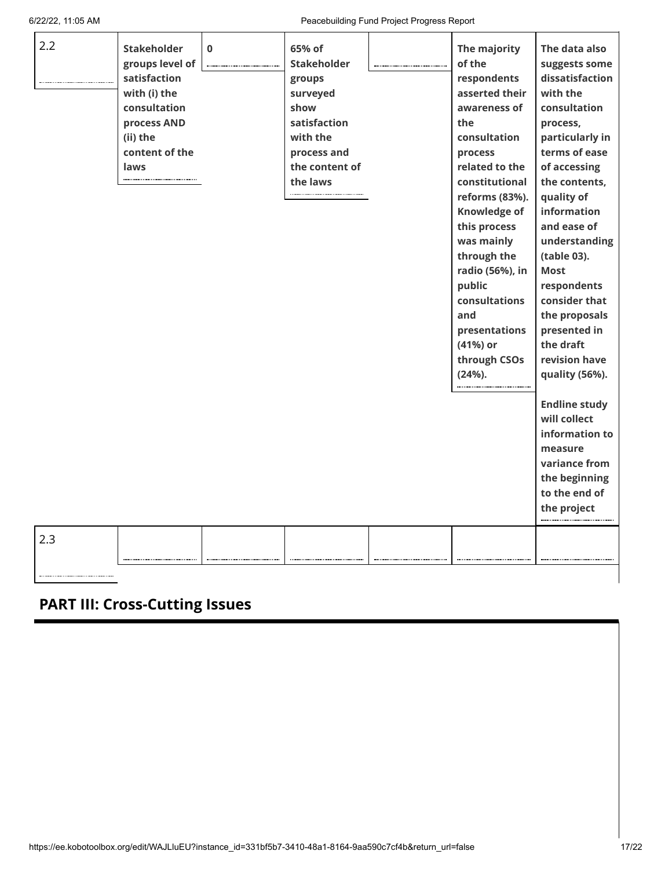r

6/22/22, 11:05 AM Peacebuilding Fund Project Progress Report

| 2.2 | <b>Stakeholder</b> | $\bf{0}$ | 65% of             | The majority        | The data also        |
|-----|--------------------|----------|--------------------|---------------------|----------------------|
|     |                    |          |                    | of the              |                      |
|     | groups level of    |          | <b>Stakeholder</b> |                     | suggests some        |
|     | satisfaction       |          | groups             | respondents         | dissatisfaction      |
|     | with (i) the       |          | surveyed           | asserted their      | with the             |
|     | consultation       |          | show               | awareness of        | consultation         |
|     | process AND        |          | satisfaction       | the                 | process,             |
|     | (ii) the           |          | with the           | consultation        | particularly in      |
|     | content of the     |          | process and        | process             | terms of ease        |
|     | laws               |          | the content of     | related to the      | of accessing         |
|     |                    |          | the laws           | constitutional      | the contents,        |
|     |                    |          |                    | reforms (83%).      | quality of           |
|     |                    |          |                    | <b>Knowledge of</b> | information          |
|     |                    |          |                    | this process        | and ease of          |
|     |                    |          |                    | was mainly          | understanding        |
|     |                    |          |                    | through the         | (table 03).          |
|     |                    |          |                    | radio (56%), in     | <b>Most</b>          |
|     |                    |          |                    | public              | respondents          |
|     |                    |          |                    | consultations       | consider that        |
|     |                    |          |                    | and                 | the proposals        |
|     |                    |          |                    | presentations       | presented in         |
|     |                    |          |                    | (41%) or            | the draft            |
|     |                    |          |                    | through CSOs        | revision have        |
|     |                    |          |                    | $(24%)$ .           | quality (56%).       |
|     |                    |          |                    |                     |                      |
|     |                    |          |                    |                     | <b>Endline study</b> |
|     |                    |          |                    |                     | will collect         |
|     |                    |          |                    |                     | information to       |
|     |                    |          |                    |                     | measure              |
|     |                    |          |                    |                     | variance from        |
|     |                    |          |                    |                     | the beginning        |
|     |                    |          |                    |                     | to the end of        |
|     |                    |          |                    |                     |                      |
|     |                    |          |                    |                     | the project          |
|     |                    |          |                    |                     |                      |
| 2.3 |                    |          |                    |                     |                      |
|     |                    |          |                    |                     |                      |
|     |                    |          |                    |                     |                      |

# **PART III: Cross-Cutting Issues**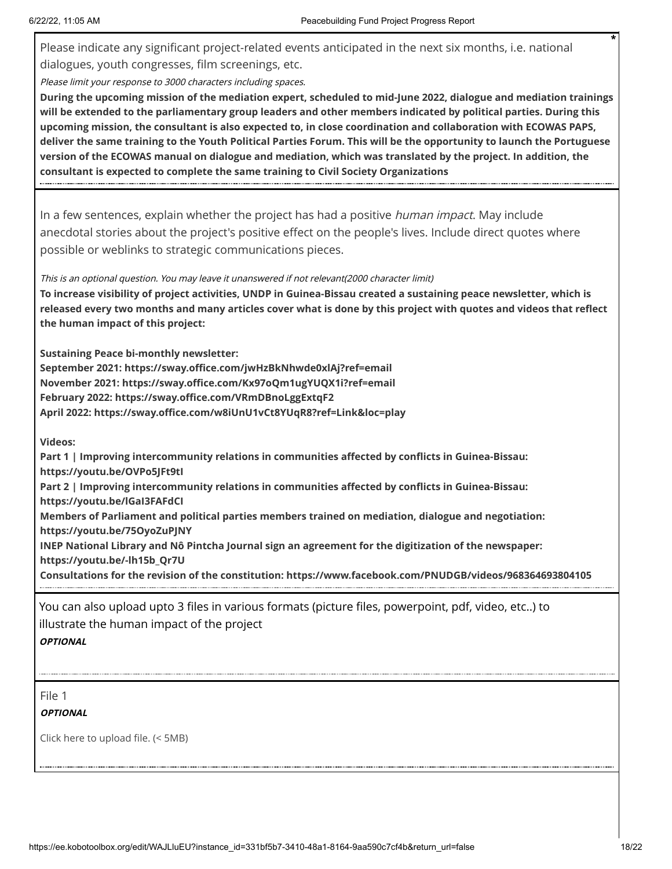Please indicate any significant project-related events anticipated in the next six months, i.e. national dialogues, youth congresses, film screenings, etc.

Please limit your response to 3000 characters including spaces.

**During the upcoming mission of the mediation expert, scheduled to mid-June 2022, dialogue and mediation trainings will be extended to the parliamentary group leaders and other members indicated by political parties. During this upcoming mission, the consultant is also expected to, in close coordination and collaboration with ECOWAS PAPS, deliver the same training to the Youth Political Parties Forum. This will be the opportunity to launch the Portuguese version of the ECOWAS manual on dialogue and mediation, which was translated by the project. In addition, the consultant is expected to complete the same training to Civil Society Organizations**

In a few sentences, explain whether the project has had a positive *human impact*. May include anecdotal stories about the project's positive effect on the people's lives. Include direct quotes where possible or weblinks to strategic communications pieces.

This is an optional question. You may leave it unanswered if not relevant(2000 character limit)

**To increase visibility of project activities, UNDP in Guinea-Bissau created a sustaining peace newsletter, which is released every two months and many articles cover what is done by this project with quotes and videos that reflect the human impact of this project:**

**Sustaining Peace bi-monthly newsletter:**

**September 2021: https://sway.office.com/jwHzBkNhwde0xlAj?ref=email November 2021: https://sway.office.com/Kx97oQm1ugYUQX1i?ref=email February 2022: https://sway.office.com/VRmDBnoLggExtqF2 April 2022: https://sway.office.com/w8iUnU1vCt8YUqR8?ref=Link&loc=play** 

**Videos:**

**Part 1 | Improving intercommunity relations in communities affected by conflicts in Guinea-Bissau: https://youtu.be/OVPo5JFt9tI** 

**Part 2 | Improving intercommunity relations in communities affected by conflicts in Guinea-Bissau:**

**https://youtu.be/lGaI3FAFdCI** 

**Members of Parliament and political parties members trained on mediation, dialogue and negotiation: https://youtu.be/75OyoZuPJNY** 

**INEP National Library and Nô Pintcha Journal sign an agreement for the digitization of the newspaper: https://youtu.be/-lh15b\_Qr7U** 

**Consultations for the revision of the constitution: https://www.facebook.com/PNUDGB/videos/968364693804105**

You can also upload upto 3 files in various formats (picture files, powerpoint, pdf, video, etc..) to illustrate the human impact of the project **OPTIONAL**

File 1

**OPTIONAL**

Click here to upload file. (< 5MB)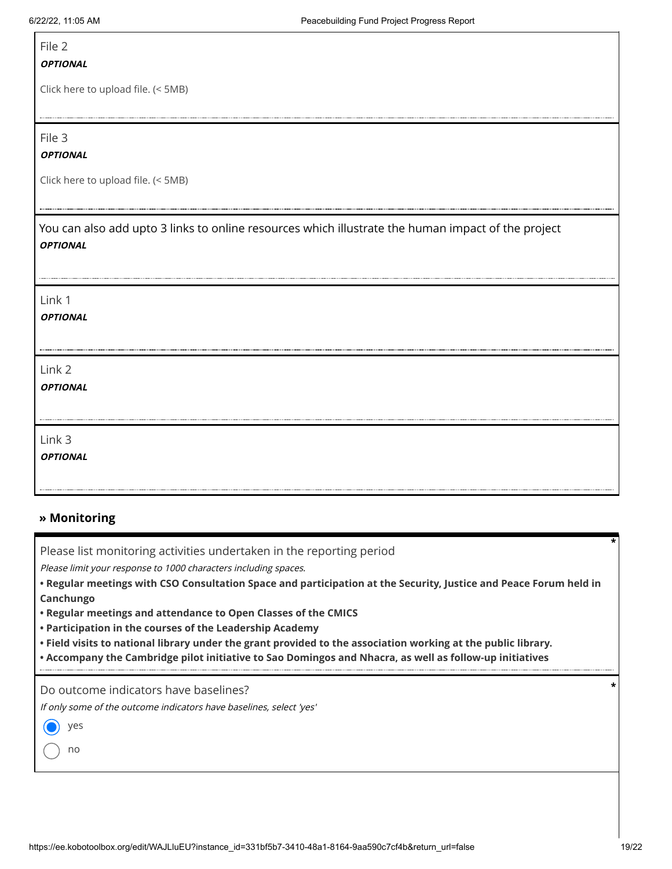### File 2

#### **OPTIONAL**

Click here to upload file. (< 5MB)

File 3

#### **OPTIONAL**

Click here to upload file. (< 5MB)

You can also add upto 3 links to online resources which illustrate the human impact of the project **OPTIONAL**

| Link 1          |  |
|-----------------|--|
| <b>OPTIONAL</b> |  |
|                 |  |
| Link 2          |  |
| <b>OPTIONAL</b> |  |
|                 |  |
| Link 3          |  |
| <b>OPTIONAL</b> |  |
|                 |  |

#### **» Monitoring**

Please list monitoring activities undertaken in the reporting period

Please limit your response to 1000 characters including spaces.

**• Regular meetings with CSO Consultation Space and participation at the Security, Justice and Peace Forum held in Canchungo**

- **• Regular meetings and attendance to Open Classes of the CMICS**
- **• Participation in the courses of the Leadership Academy**
- **• Field visits to national library under the grant provided to the association working at the public library.**
- **• Accompany the Cambridge pilot initiative to Sao Domingos and Nhacra, as well as follow-up initiatives**

Do outcome indicators have baselines?

If only some of the outcome indicators have baselines, select 'yes'

yes

no

**\***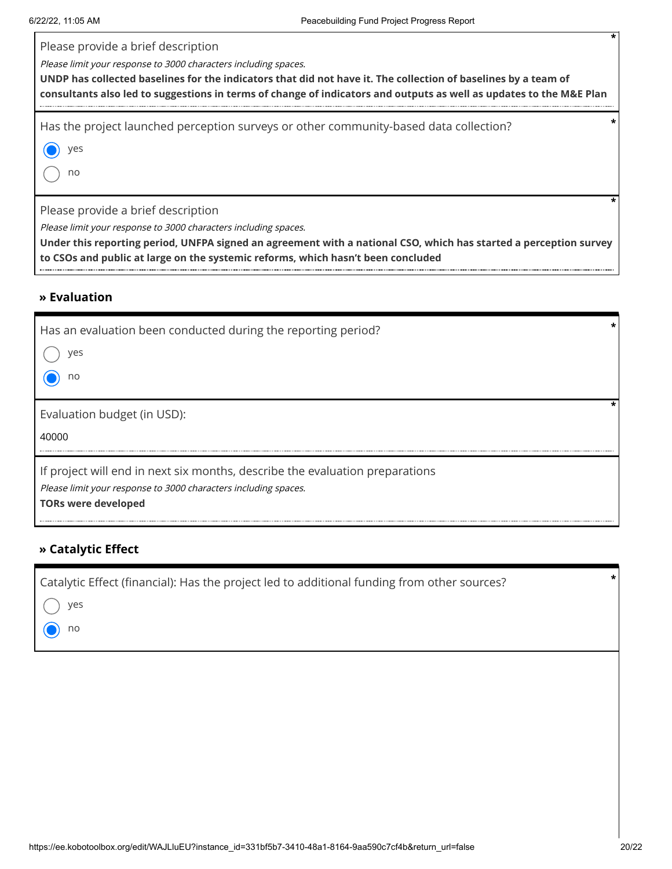Please provide a brief description

Please limit your response to 3000 characters including spaces.

**UNDP has collected baselines for the indicators that did not have it. The collection of baselines by a team of consultants also led to suggestions in terms of change of indicators and outputs as well as updates to the M&E Plan**

Has the project launched perception surveys or other community-based data collection? **\***

yes

no

Please provide a brief description

Please limit your response to 3000 characters including spaces.

**Under this reporting period, UNFPA signed an agreement with a national CSO, which has started a perception survey to CSOs and public at large on the systemic reforms, which hasn't been concluded**

#### **» Evaluation**

| Has an evaluation been conducted during the reporting period?<br>ves<br>no                                                                                                    |  |
|-------------------------------------------------------------------------------------------------------------------------------------------------------------------------------|--|
| Evaluation budget (in USD):<br>40000                                                                                                                                          |  |
| If project will end in next six months, describe the evaluation preparations<br>Please limit your response to 3000 characters including spaces.<br><b>TORs were developed</b> |  |

#### **» Catalytic Effect**

| Catalytic Effect (financial): Has the project led to additional funding from other sources? |  |
|---------------------------------------------------------------------------------------------|--|
| $\bigcap$                                                                                   |  |

yes

no

**\***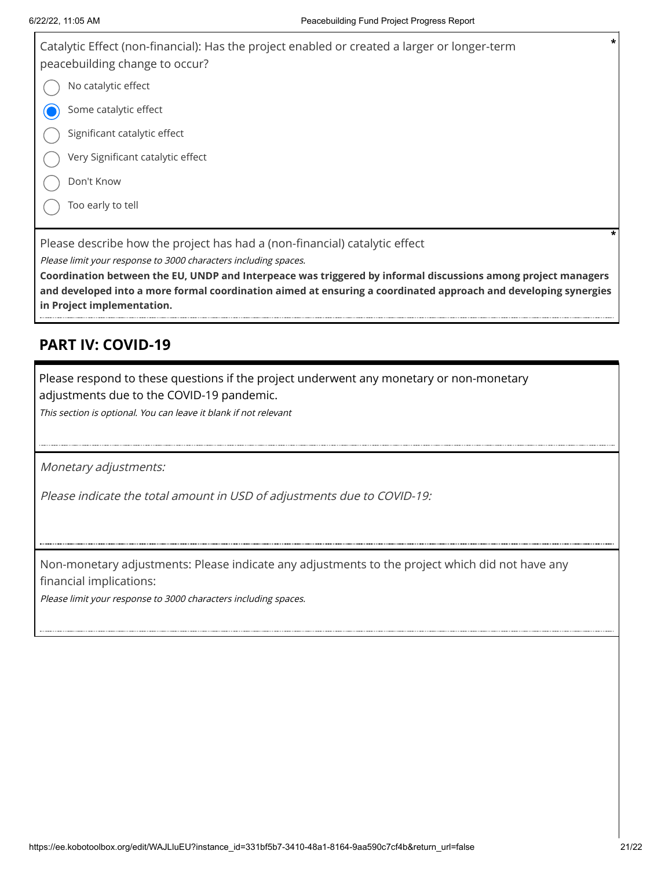

Please limit your response to 3000 characters including spaces.

**Coordination between the EU, UNDP and Interpeace was triggered by informal discussions among project managers and developed into a more formal coordination aimed at ensuring a coordinated approach and developing synergies in Project implementation.**

### **PART IV: COVID-19**

Please respond to these questions if the project underwent any monetary or non-monetary

adjustments due to the COVID-19 pandemic.

This section is optional. You can leave it blank if not relevant

Monetary adjustments:

Please indicate the total amount in USD of adjustments due to COVID-19:

Non-monetary adjustments: Please indicate any adjustments to the project which did not have any financial implications:

Please limit your response to 3000 characters including spaces.